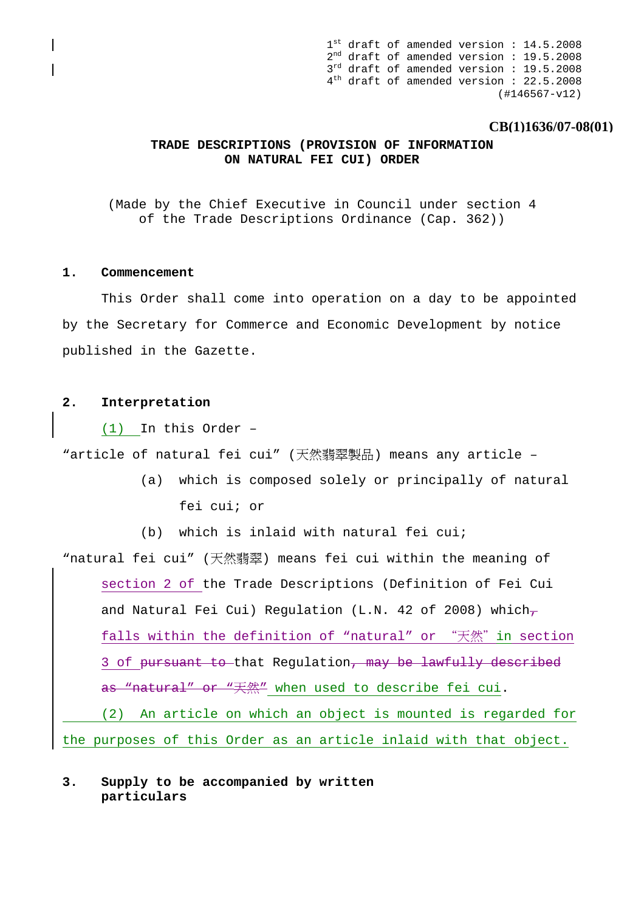$1^{\text{st}}$  draft of amended version : 14.5.2008 2nd draft of amended version : 19.5.2008  $3<sup>rd</sup>$  draft of amended version : 19.5.2008 4th draft of amended version : 22.5.2008 (#146567-v12)

## **CB(1)1636/07-08(01)**

## **TRADE DESCRIPTIONS (PROVISION OF INFORMATION ON NATURAL FEI CUI) ORDER**

(Made by the Chief Executive in Council under section 4 of the Trade Descriptions Ordinance (Cap. 362))

#### **1. Commencement**

This Order shall come into operation on a day to be appointed by the Secretary for Commerce and Economic Development by notice published in the Gazette.

#### **2. Interpretation**

(1) In this Order –

"article of natural fei cui" (天然翡翠製品) means any article –

(a) which is composed solely or principally of natural fei cui; or

(b) which is inlaid with natural fei cui;

"natural fei cui" (天然翡翠) means fei cui within the meaning of section 2 of the Trade Descriptions (Definition of Fei Cui and Natural Fei Cui) Regulation (L.N. 42 of 2008) whichfalls within the definition of "natural" or "天然" in section 3 of pursuant to that Regulation, may be lawfully described as "natural" or "天然" when used to describe fei cui. (2) An article on which an object is mounted is regarded for the purposes of this Order as an article inlaid with that object.

## **3. Supply to be accompanied by written particulars**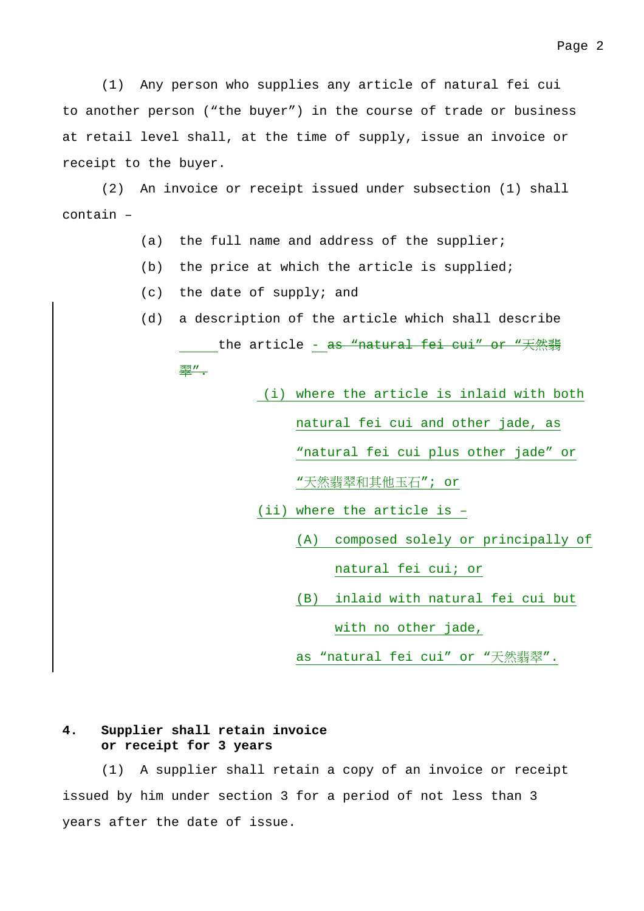(1) Any person who supplies any article of natural fei cui to another person ("the buyer") in the course of trade or business at retail level shall, at the time of supply, issue an invoice or receipt to the buyer.

 (2) An invoice or receipt issued under subsection (1) shall contain –

- (a) the full name and address of the supplier;
- (b) the price at which the article is supplied;
- (c) the date of supply; and
- (d) a description of the article which shall describe the article - <del>as "natural fei cui" or "天然翡</del> 翠".
	- (i) where the article is inlaid with both natural fei cui and other jade, as "natural fei cui plus other jade" or "天然翡翠和其他玉石"; or (ii) where the article is – (A) composed solely or principally of natural fei cui; or
		- (B) inlaid with natural fei cui but

with no other jade,

as "natural fei cui" or "天然翡翠".

# **4. Supplier shall retain invoice or receipt for 3 years**

 (1) A supplier shall retain a copy of an invoice or receipt issued by him under section 3 for a period of not less than 3 years after the date of issue.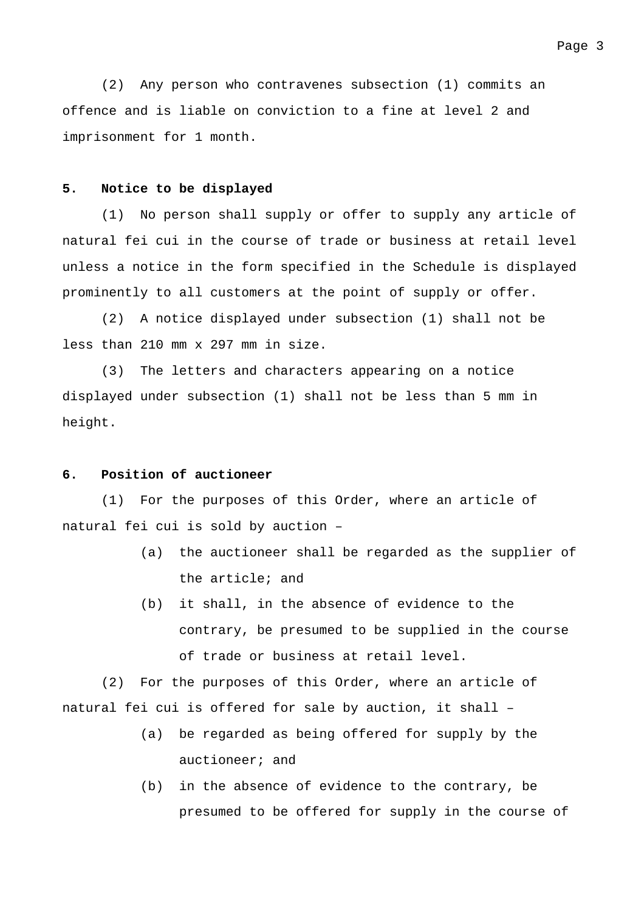#### **5. Notice to be displayed**

 (1) No person shall supply or offer to supply any article of natural fei cui in the course of trade or business at retail level unless a notice in the form specified in the Schedule is displayed prominently to all customers at the point of supply or offer.

 (2) A notice displayed under subsection (1) shall not be less than 210 mm x 297 mm in size.

 (3) The letters and characters appearing on a notice displayed under subsection (1) shall not be less than 5 mm in height.

#### **6. Position of auctioneer**

 (1) For the purposes of this Order, where an article of natural fei cui is sold by auction –

- (a) the auctioneer shall be regarded as the supplier of the article; and
- (b) it shall, in the absence of evidence to the contrary, be presumed to be supplied in the course of trade or business at retail level.

 (2) For the purposes of this Order, where an article of natural fei cui is offered for sale by auction, it shall –

- (a) be regarded as being offered for supply by the auctioneer; and
- (b) in the absence of evidence to the contrary, be presumed to be offered for supply in the course of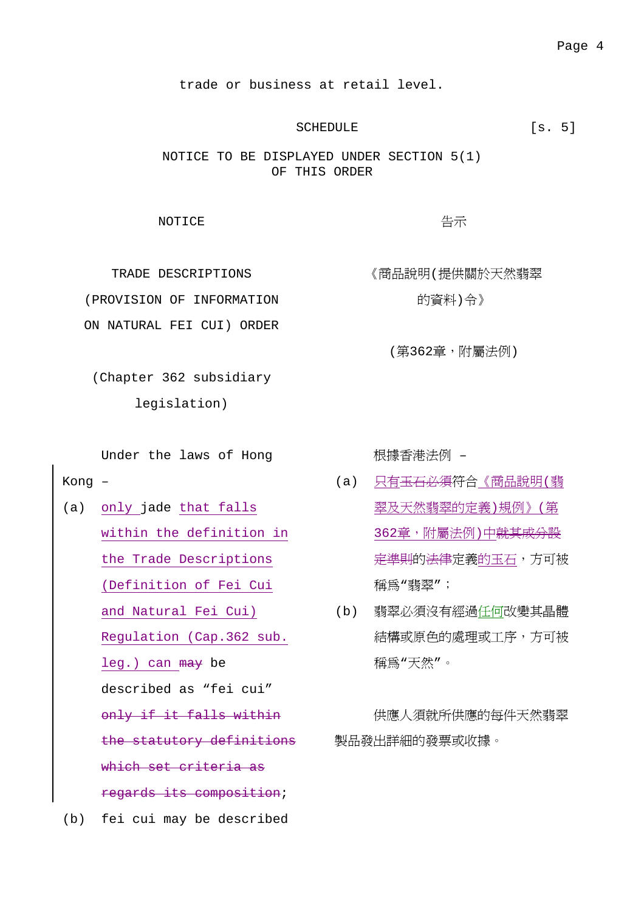trade or business at retail level.

## SCHEDULE [s. 5]

告示

《商品說明(提供關於天然翡翠

(第362章,附屬法例)

NOTICE TO BE DISPLAYED UNDER SECTION 5(1) OF THIS ORDER

**NOTICE** 

TRADE DESCRIPTIONS (PROVISION OF INFORMATION ON NATURAL FEI CUI) ORDER

的資料)令》

(Chapter 362 subsidiary legislation)

Under the laws of Hong

Kong –

(a) only jade that falls within the definition in the Trade Descriptions (Definition of Fei Cui and Natural Fei Cui) (b) 翡翠必須沒有經過<u>任何</u>改變其晶體 Regulation (Cap.362 sub. leg.) can may be described as "fei cui" only if it falls within the statutory definitions 製品發出詳細的發票或收據。which set criteria as regards its composition; (b) fei cui may be described

根據香港法例 –

- (a) 只有<del>玉石必須</del>符合《商品說明(翡 翠及天然翡翠的定義)規例》(第 362章,附屬法例)中<del>就其成分設</del> <del>定準則</del>的<del>法律</del>定義的玉石,方可被 稱為"翡翠";
- 結構或原色的處理或工序,方可被 稱為"天然"。

供應人須就所供應的每件天然翡翠